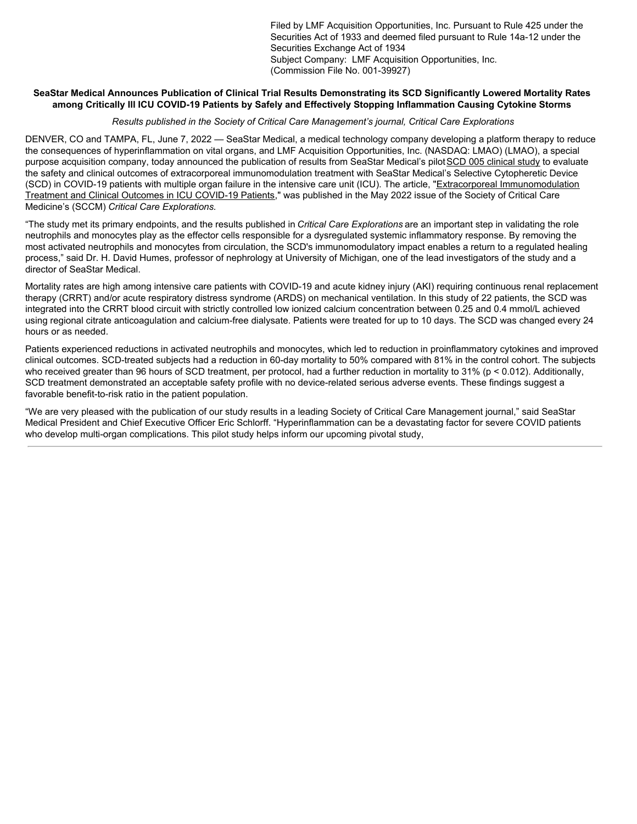Filed by LMF Acquisition Opportunities, Inc. Pursuant to Rule 425 under the Securities Act of 1933 and deemed filed pursuant to Rule 14a-12 under the Securities Exchange Act of 1934 Subject Company: LMF Acquisition Opportunities, Inc. (Commission File No. 001-39927)

## SeaStar Medical Announces Publication of Clinical Trial Results Demonstrating its SCD Significantly Lowered Mortality Rates **among Critically Ill ICU COVID-19 Patients by Safely and Effectively Stopping Inflammation Causing Cytokine Storms**

## *Results published in the Society of Critical Care Management's journal, Critical Care Explorations*

DENVER, CO and TAMPA, FL, June 7, 2022 — SeaStar Medical, a medical technology company developing a platform therapy to reduce the consequences of hyperinflammation on vital organs, and LMF Acquisition Opportunities, Inc. (NASDAQ: LMAO) (LMAO), a special purpose acquisition company, today announced the publication of results from SeaStar Medical's pilotSCD 005 clinical study to evaluate the safety and clinical outcomes of extracorporeal immunomodulation treatment with SeaStar Medical's Selective Cytopheretic Device (SCD) in COVID-19 patients with multiple organ failure in the intensive care unit (ICU). The article, "Extracorporeal Immunomodulation Treatment and Clinical Outcomes in ICU COVID-19 Patients," was published in the May 2022 issue of the Society of Critical Care Medicine's (SCCM) *Critical Care Explorations.*

"The study met its primary endpoints, and the results published in *Critical Care Explorations* are an important step in validating the role neutrophils and monocytes play as the effector cells responsible for a dysregulated systemic inflammatory response. By removing the most activated neutrophils and monocytes from circulation, the SCD's immunomodulatory impact enables a return to a regulated healing process," said Dr. H. David Humes, professor of nephrology at University of Michigan, one of the lead investigators of the study and a director of SeaStar Medical.

Mortality rates are high among intensive care patients with COVID-19 and acute kidney injury (AKI) requiring continuous renal replacement therapy (CRRT) and/or acute respiratory distress syndrome (ARDS) on mechanical ventilation. In this study of 22 patients, the SCD was integrated into the CRRT blood circuit with strictly controlled low ionized calcium concentration between 0.25 and 0.4 mmol/L achieved using regional citrate anticoagulation and calcium-free dialysate. Patients were treated for up to 10 days. The SCD was changed every 24 hours or as needed.

Patients experienced reductions in activated neutrophils and monocytes, which led to reduction in proinflammatory cytokines and improved clinical outcomes. SCD-treated subjects had a reduction in 60-day mortality to 50% compared with 81% in the control cohort. The subjects who received greater than 96 hours of SCD treatment, per protocol, had a further reduction in mortality to 31% (p < 0.012). Additionally, SCD treatment demonstrated an acceptable safety profile with no device-related serious adverse events. These findings suggest a favorable benefit-to-risk ratio in the patient population.

"We are very pleased with the publication of our study results in a leading Society of Critical Care Management journal," said SeaStar Medical President and Chief Executive Officer Eric Schlorff. "Hyperinflammation can be a devastating factor for severe COVID patients who develop multi-organ complications. This pilot study helps inform our upcoming pivotal study,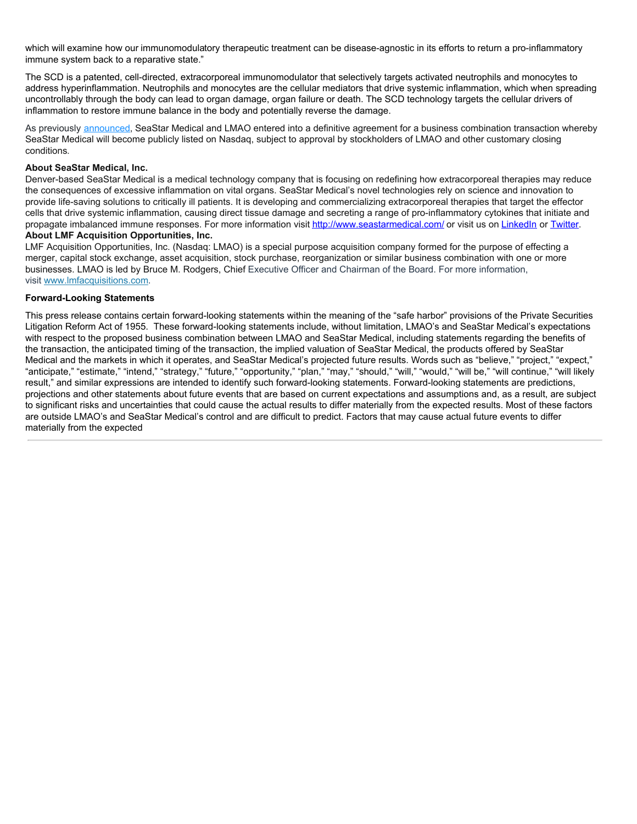which will examine how our immunomodulatory therapeutic treatment can be disease-agnostic in its efforts to return a pro-inflammatory immune system back to a reparative state."

The SCD is a patented, cell-directed, extracorporeal immunomodulator that selectively targets activated neutrophils and monocytes to address hyperinflammation. Neutrophils and monocytes are the cellular mediators that drive systemic inflammation, which when spreading uncontrollably through the body can lead to organ damage, organ failure or death. The SCD technology targets the cellular drivers of inflammation to restore immune balance in the body and potentially reverse the damage.

As previously announced, SeaStar Medical and LMAO entered into a definitive agreement for a business combination transaction whereby SeaStar Medical will become publicly listed on Nasdaq, subject to approval by stockholders of LMAO and other customary closing conditions.

### **About SeaStar Medical, Inc.**

Denver-based SeaStar Medical is a medical technology company that is focusing on redefining how extracorporeal therapies may reduce the consequences of excessive inflammation on vital organs. SeaStar Medical's novel technologies rely on science and innovation to provide life-saving solutions to critically ill patients. It is developing and commercializing extracorporeal therapies that target the effector cells that drive systemic inflammation, causing direct tissue damage and secreting a range of pro-inflammatory cytokines that initiate and propagate imbalanced immune responses. For more information visit http://www.seastarmedical.com/ or visit us on LinkedIn or Twitter. **About LMF Acquisition Opportunities, Inc.**

LMF Acquisition Opportunities, Inc. (Nasdaq: LMAO) is a special purpose acquisition company formed for the purpose of effecting a merger, capital stock exchange, asset acquisition, stock purchase, reorganization or similar business combination with one or more businesses. LMAO is led by Bruce M. Rodgers, Chief Executive Officer and Chairman of the Board. For more information, visit www.lmfacquisitions.com.

### **Forward-Looking Statements**

This press release contains certain forward-looking statements within the meaning of the "safe harbor" provisions of the Private Securities Litigation Reform Act of 1955. These forward-looking statements include, without limitation, LMAO's and SeaStar Medical's expectations with respect to the proposed business combination between LMAO and SeaStar Medical, including statements regarding the benefits of the transaction, the anticipated timing of the transaction, the implied valuation of SeaStar Medical, the products offered by SeaStar Medical and the markets in which it operates, and SeaStar Medical's projected future results. Words such as "believe," "project," "expect," "anticipate," "estimate," "intend," "strategy," "future," "opportunity," "plan," "may," "should," "will," "would," "will be," "will continue," "will likely result," and similar expressions are intended to identify such forward-looking statements. Forward-looking statements are predictions, projections and other statements about future events that are based on current expectations and assumptions and, as a result, are subject to significant risks and uncertainties that could cause the actual results to differ materially from the expected results. Most of these factors are outside LMAO's and SeaStar Medical's control and are difficult to predict. Factors that may cause actual future events to differ materially from the expected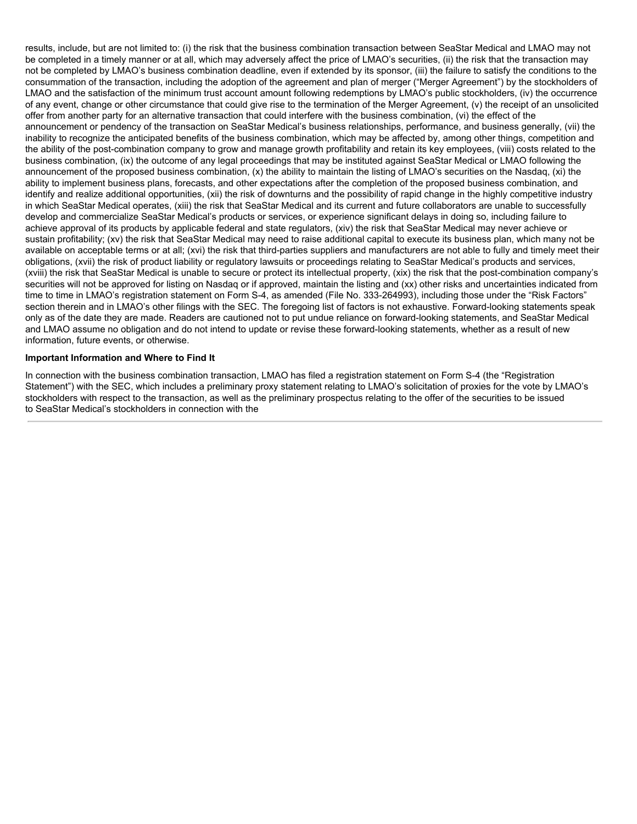results, include, but are not limited to: (i) the risk that the business combination transaction between SeaStar Medical and LMAO may not be completed in a timely manner or at all, which may adversely affect the price of LMAO's securities, (ii) the risk that the transaction may not be completed by LMAO's business combination deadline, even if extended by its sponsor, (iii) the failure to satisfy the conditions to the consummation of the transaction, including the adoption of the agreement and plan of merger ("Merger Agreement") by the stockholders of LMAO and the satisfaction of the minimum trust account amount following redemptions by LMAO's public stockholders, (iv) the occurrence of any event, change or other circumstance that could give rise to the termination of the Merger Agreement, (v) the receipt of an unsolicited offer from another party for an alternative transaction that could interfere with the business combination, (vi) the effect of the announcement or pendency of the transaction on SeaStar Medical's business relationships, performance, and business generally, (vii) the inability to recognize the anticipated benefits of the business combination, which may be affected by, among other things, competition and the ability of the post-combination company to grow and manage growth profitability and retain its key employees, (viii) costs related to the business combination, (ix) the outcome of any legal proceedings that may be instituted against SeaStar Medical or LMAO following the announcement of the proposed business combination, (x) the ability to maintain the listing of LMAO's securities on the Nasdaq, (xi) the ability to implement business plans, forecasts, and other expectations after the completion of the proposed business combination, and identify and realize additional opportunities, (xii) the risk of downturns and the possibility of rapid change in the highly competitive industry in which SeaStar Medical operates, (xiii) the risk that SeaStar Medical and its current and future collaborators are unable to successfully develop and commercialize SeaStar Medical's products or services, or experience significant delays in doing so, including failure to achieve approval of its products by applicable federal and state regulators, (xiv) the risk that SeaStar Medical may never achieve or sustain profitability; (xv) the risk that SeaStar Medical may need to raise additional capital to execute its business plan, which many not be available on acceptable terms or at all; (xvi) the risk that third-parties suppliers and manufacturers are not able to fully and timely meet their obligations, (xvii) the risk of product liability or regulatory lawsuits or proceedings relating to SeaStar Medical's products and services, (xviii) the risk that SeaStar Medical is unable to secure or protect its intellectual property, (xix) the risk that the post-combination company's securities will not be approved for listing on Nasdaq or if approved, maintain the listing and (xx) other risks and uncertainties indicated from time to time in LMAO's registration statement on Form S-4, as amended (File No. 333-264993), including those under the "Risk Factors" section therein and in LMAO's other filings with the SEC. The foregoing list of factors is not exhaustive. Forward-looking statements speak only as of the date they are made. Readers are cautioned not to put undue reliance on forward-looking statements, and SeaStar Medical and LMAO assume no obligation and do not intend to update or revise these forward-looking statements, whether as a result of new information, future events, or otherwise.

#### **Important Information and Where to Find It**

In connection with the business combination transaction, LMAO has filed a registration statement on Form S-4 (the "Registration Statement") with the SEC, which includes a preliminary proxy statement relating to LMAO's solicitation of proxies for the vote by LMAO's stockholders with respect to the transaction, as well as the preliminary prospectus relating to the offer of the securities to be issued to SeaStar Medical's stockholders in connection with the